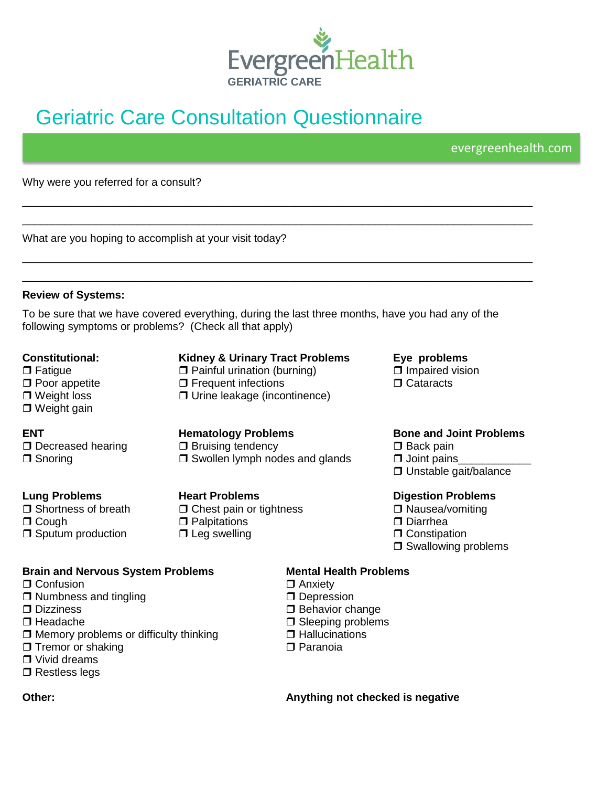

# [Geriatric Care](http://www.facebook.com/evergreenhospital.org) Consultation Questionnaire

evergreenhealth.com

Why were you referred for a consult?

What are you hoping to accomplish at your visit today?

### **Review of Systems:**

To be sure that we have covered everything, during the last three months, have you had any of the following symptoms or problems? (Check all that apply)

\_\_\_\_\_\_\_\_\_\_\_\_\_\_\_\_\_\_\_\_\_\_\_\_\_\_\_\_\_\_\_\_\_\_\_\_\_\_\_\_\_\_\_\_\_\_\_\_\_\_\_\_\_\_\_\_\_\_\_\_\_\_\_\_\_\_\_\_\_\_\_\_\_\_\_\_\_\_\_\_\_\_\_\_ \_\_\_\_\_\_\_\_\_\_\_\_\_\_\_\_\_\_\_\_\_\_\_\_\_\_\_\_\_\_\_\_\_\_\_\_\_\_\_\_\_\_\_\_\_\_\_\_\_\_\_\_\_\_\_\_\_\_\_\_\_\_\_\_\_\_\_\_\_\_\_\_\_\_\_\_\_\_\_\_\_\_\_\_

\_\_\_\_\_\_\_\_\_\_\_\_\_\_\_\_\_\_\_\_\_\_\_\_\_\_\_\_\_\_\_\_\_\_\_\_\_\_\_\_\_\_\_\_\_\_\_\_\_\_\_\_\_\_\_\_\_\_\_\_\_\_\_\_\_\_\_\_\_\_\_\_\_\_\_\_\_\_\_\_\_\_\_\_ \_\_\_\_\_\_\_\_\_\_\_\_\_\_\_\_\_\_\_\_\_\_\_\_\_\_\_\_\_\_\_\_\_\_\_\_\_\_\_\_\_\_\_\_\_\_\_\_\_\_\_\_\_\_\_\_\_\_\_\_\_\_\_\_\_\_\_\_\_\_\_\_\_\_\_\_\_\_\_\_\_\_\_\_

### **Constitutional: Kidney & Urinary Tract Problems Eye problems**

□ Weight gain

 $\Box$  Fatigue  $\Box$  Painful urination (burning)  $\Box$  Impaired vision  $\Box$  Poor appetite  $\Box$  Prequent infections  $\Box$  Cataracts □ Poor appetite Frequent infections<br>□ Weight loss Cataracter Cataractions  $\Box$  Urine leakage (incontinence)

 $\Box$  Decreased hearing  $\Box$  Bruising tendency  $\Box$  Back pain  $\Box$  Snoring  $\Box$  Swollen lymph nodes and glands  $\Box$  Joint pains

 $\Box$  Shortness of breath  $\Box$  Chest pain or tightness  $\Box$  Nausea/vomiting Cough Palpitations Diarrhea  $\Box$  Sputum production  $\Box$  Leg swelling  $\Box$  Constipation  $\Box$ 

### **ENT Hematology Problems Bone and Joint Problems**

□ Unstable gait/balance

### **Lung Problems Heart Problems Digestion Problems**

- 
- 
- $\square$  Swallowing problems

### **Brain and Nervous System Problems Mental Health Problems**

- $\Box$  Confusion  $\Box$  Anxiety
- $\Box$  Numbness and tingling  $\Box$  Depression
- 
- 
- $\Box$  Headache  $\Box$  Sleeping problems<br> $\Box$  Memory problems or difficulty thinking  $\Box$  Hallucinations  $\Box$  Memory problems or difficulty thinking
- $\Box$  Tremor or shaking  $\Box$  Paranoia
- □ Vivid dreams
- □ Restless legs

- 
- 
- □ Dizziness □ Behavior change
	-
	-
	-

**Other: Anything not checked is negative**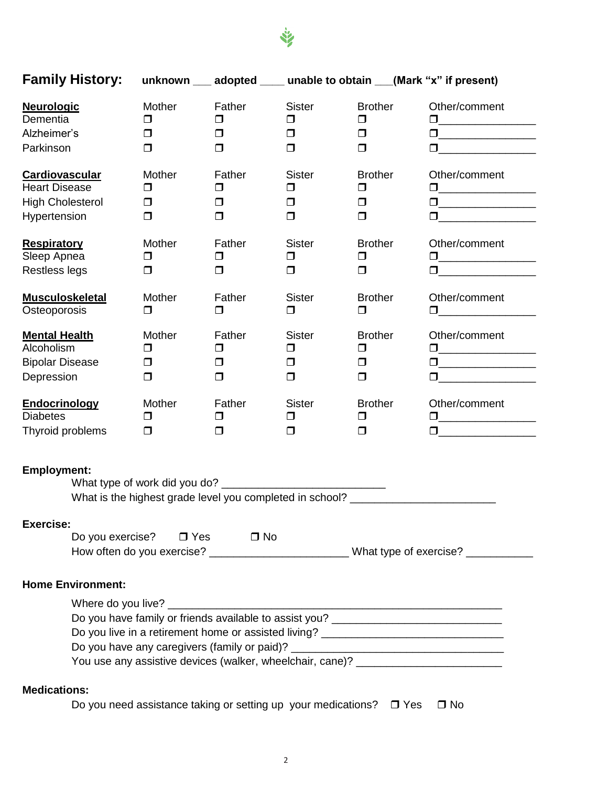

| <b>Family History:</b>   |                                                                                  |           |               |                | unknown ___ adopted ____ unable to obtain ___(Mark "x" if present)                                                                                                                                                                                                                                                                            |
|--------------------------|----------------------------------------------------------------------------------|-----------|---------------|----------------|-----------------------------------------------------------------------------------------------------------------------------------------------------------------------------------------------------------------------------------------------------------------------------------------------------------------------------------------------|
| <b>Neurologic</b>        | Mother                                                                           | Father    | <b>Sister</b> | <b>Brother</b> | Other/comment                                                                                                                                                                                                                                                                                                                                 |
| Dementia                 | $\Box$                                                                           | $\Box$    | $\Box$        | $\Box$         | $\Box$ and $\Box$ and $\Box$ and $\Box$ and $\Box$                                                                                                                                                                                                                                                                                            |
| Alzheimer's              | ◻                                                                                | $\Box$    | $\Box$        | $\Box$         | $\Box$ and $\Box$ and $\Box$ and $\Box$ and $\Box$                                                                                                                                                                                                                                                                                            |
| Parkinson                | $\Box$                                                                           | $\Box$    | $\Box$        | $\Box$         | $\begin{tabular}{ c c c c } \hline \quad \quad & \quad \quad & \quad \quad & \quad \quad \\ \hline \end{tabular}$                                                                                                                                                                                                                             |
| Cardiovascular           | Mother                                                                           | Father    | <b>Sister</b> | <b>Brother</b> | Other/comment                                                                                                                                                                                                                                                                                                                                 |
| <b>Heart Disease</b>     | $\Box$                                                                           | $\Box$    | $\Box$        | $\Box$         |                                                                                                                                                                                                                                                                                                                                               |
| <b>High Cholesterol</b>  | $\Box$                                                                           | $\Box$    | $\Box$        | $\Box$         | $\begin{tabular}{ c c c c } \hline \quad \quad & \quad \quad & \quad \quad & \quad \quad \\ \hline \end{tabular}$                                                                                                                                                                                                                             |
| Hypertension             | $\Box$                                                                           | $\Box$    | $\Box$        | $\Box$         |                                                                                                                                                                                                                                                                                                                                               |
| <b>Respiratory</b>       | Mother                                                                           | Father    | <b>Sister</b> | <b>Brother</b> | Other/comment                                                                                                                                                                                                                                                                                                                                 |
| Sleep Apnea              | $\Box$                                                                           | $\Box$    | $\Box$        | $\Box$         | $\begin{tabular}{ c c c c } \hline \quad \quad & \quad \quad & \quad \quad & \quad \quad \\ \hline \end{tabular}$                                                                                                                                                                                                                             |
| Restless legs            | $\Box$                                                                           | $\Box$    | $\Box$        | $\Box$         |                                                                                                                                                                                                                                                                                                                                               |
| <b>Musculoskeletal</b>   | Mother                                                                           | Father    | <b>Sister</b> | <b>Brother</b> | Other/comment                                                                                                                                                                                                                                                                                                                                 |
| Osteoporosis             | $\Box$                                                                           | $\Box$    | $\Box$        | $\Box$         |                                                                                                                                                                                                                                                                                                                                               |
| <b>Mental Health</b>     | Mother                                                                           | Father    | <b>Sister</b> | <b>Brother</b> | Other/comment                                                                                                                                                                                                                                                                                                                                 |
| Alcoholism               | □                                                                                | $\Box$    | $\Box$        | $\Box$         | $\Box$ . The set of $\Box$ and $\Box$ and $\Box$ and $\Box$ and $\Box$ and $\Box$ and $\Box$ and $\Box$ and $\Box$ and $\Box$ and $\Box$ and $\Box$ and $\Box$ and $\Box$ and $\Box$ and $\Box$ and $\Box$ and $\Box$ and $\Box$ and $\Box$ and $\Box$ and $\Box$ and $\Box$                                                                  |
| <b>Bipolar Disease</b>   | □                                                                                | $\Box$    | $\Box$        | $\Box$         | $\begin{tabular}{ c c c c } \hline \quad \quad & \quad \quad & \quad \quad & \quad \quad \\ \hline \end{tabular}$                                                                                                                                                                                                                             |
| Depression               | $\Box$                                                                           | $\Box$    | $\Box$        | $\Box$         |                                                                                                                                                                                                                                                                                                                                               |
| <b>Endocrinology</b>     | Mother                                                                           | Father    | <b>Sister</b> | <b>Brother</b> | Other/comment                                                                                                                                                                                                                                                                                                                                 |
| <b>Diabetes</b>          | $\Box$                                                                           | $\Box$    | $\Box$        | $\Box$         | $\begin{tabular}{ c c c c } \hline \quad \quad & \quad \quad & \quad \quad & \quad \quad \\ \hline \end{tabular}$                                                                                                                                                                                                                             |
| Thyroid problems         | $\Box$                                                                           | $\Box$    | $\Box$        | $\Box$         | $\Box$ and $\Box$ and $\Box$ and $\Box$ and $\Box$ and $\Box$ and $\Box$ and $\Box$ and $\Box$ and $\Box$ and $\Box$ and $\Box$ and $\Box$ and $\Box$ and $\Box$ and $\Box$ and $\Box$ and $\Box$ and $\Box$ and $\Box$ and $\Box$ and $\Box$ and $\Box$ and $\Box$ and $\Box$                                                                |
| <b>Employment:</b>       | What is the highest grade level you completed in school? _______________________ |           |               |                |                                                                                                                                                                                                                                                                                                                                               |
| <b>Exercise:</b>         | Do you exercise? $\Box$ Yes                                                      | $\Box$ No |               |                | How often do you exercise? ____________________________What type of exercise? ____________                                                                                                                                                                                                                                                    |
| <b>Home Environment:</b> |                                                                                  |           |               |                |                                                                                                                                                                                                                                                                                                                                               |
|                          |                                                                                  |           |               |                | Do you have family or friends available to assist you? _________________________<br>Do you live in a retirement home or assisted living? ____________________________<br>Do you have any caregivers (family or paid)? ___________________________________<br>You use any assistive devices (walker, wheelchair, cane)? ______________________ |
| <b>Medications:</b>      |                                                                                  |           |               |                |                                                                                                                                                                                                                                                                                                                                               |

Do you need assistance taking or setting up your medications?  $\Box$  Yes  $\Box$  No